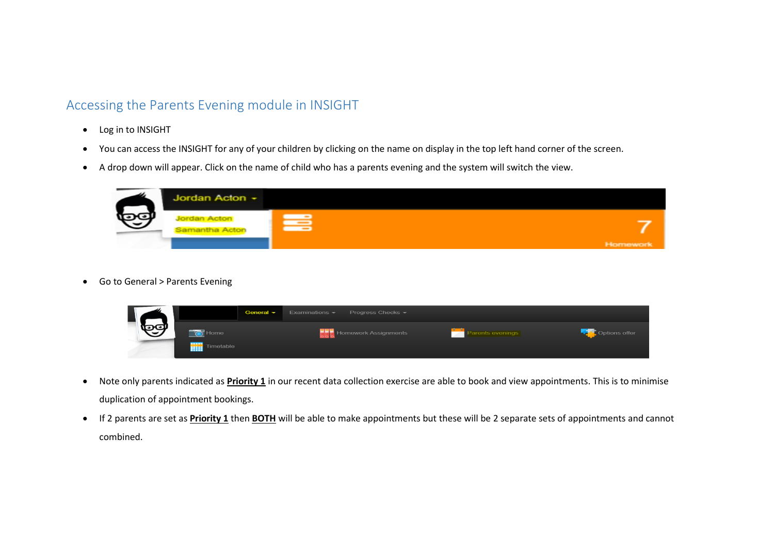## Accessing the Parents Evening module in INSIGHT

- Log in to INSIGHT
- You can access the INSIGHT for any of your children by clicking on the name on display in the top left hand corner of the screen.
- A drop down will appear. Click on the name of child who has a parents evening and the system will switch the view.



Go to General > Parents Evening



- Note only parents indicated as **Priority 1** in our recent data collection exercise are able to book and view appointments. This is to minimise duplication of appointment bookings.
- If 2 parents are set as **Priority 1** then **BOTH** will be able to make appointments but these will be 2 separate sets of appointments and cannot combined.